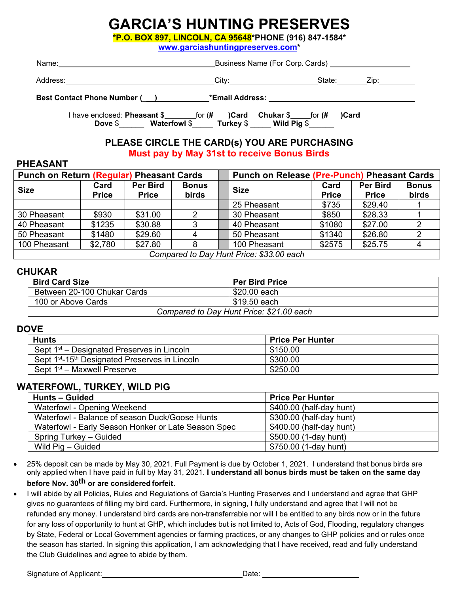# **GARCIA'S HUNTING PRESERVES**

**\*P.O. BOX 897, LINCOLN, CA 95648\*PHONE (916) 847-1584\*** 

**[www.garciashuntingpreserves.com\\*](http://www.garciashuntingpreserves.com/)**

| Name:                              |                 | Business Name (For Corp. Cards) |  |  |
|------------------------------------|-----------------|---------------------------------|--|--|
| Address:                           | City:           | State:<br>∕in:                  |  |  |
| <b>Best Contact Phone Number (</b> | *Email Address: |                                 |  |  |

I have enclosed: **Pheasant** \$ \_\_\_\_\_\_\_for (**# )Card Chukar** \$ for **(# )Card Dove** \$\_\_\_\_\_\_ **Waterfowl** \$\_\_\_\_\_ **Turkey** \$ \_\_\_\_\_ **Wild Pig** \$\_\_\_\_\_\_

#### **PLEASE CIRCLE THE CARD(s) YOU ARE PURCHASING Must pay by May 31st to receive Bonus Birds**

#### **PHEASANT**

| <b>Punch on Return (Regular) Pheasant Cards</b> |                      |                          | <b>Punch on Release (Pre-Punch) Pheasant Cards</b> |  |              |                      |                                 |                       |
|-------------------------------------------------|----------------------|--------------------------|----------------------------------------------------|--|--------------|----------------------|---------------------------------|-----------------------|
| <b>Size</b>                                     | Card<br><b>Price</b> | Per Bird<br><b>Price</b> | <b>Bonus</b><br>birds                              |  | <b>Size</b>  | Card<br><b>Price</b> | <b>Per Bird</b><br><b>Price</b> | <b>Bonus</b><br>birds |
|                                                 |                      |                          |                                                    |  | 25 Pheasant  | \$735                | \$29.40                         |                       |
| 30 Pheasant                                     | \$930                | \$31.00                  |                                                    |  | 30 Pheasant  | \$850                | \$28.33                         |                       |
| 40 Pheasant                                     | \$1235               | \$30.88                  | 3                                                  |  | 40 Pheasant  | \$1080               | \$27.00                         |                       |
| 50 Pheasant                                     | \$1480               | \$29.60                  |                                                    |  | 50 Pheasant  | \$1340               | \$26.80                         |                       |
| 100 Pheasant                                    | \$2,780              | \$27.80                  | 8                                                  |  | 100 Pheasant | \$2575               | \$25.75                         |                       |
| Compared to Day Hunt Drigo: \$33.00 soop        |                      |                          |                                                    |  |              |                      |                                 |                       |

*Compared to Day Hunt Price: \$33.00 each*

#### **CHUKAR**

| <b>Bird Card Size</b>                    | <b>Per Bird Price</b> |  |
|------------------------------------------|-----------------------|--|
| Between 20-100 Chukar Cards              | \$20.00 each          |  |
| 100 or Above Cards                       | <b>\$19.50 each</b>   |  |
| Compared to Day Hunt Price: \$21.00 each |                       |  |

#### **DOVE**

| <b>Hunts</b>                                                           | <b>Price Per Hunter</b> |
|------------------------------------------------------------------------|-------------------------|
| Sept 1 <sup>st</sup> – Designated Preserves in Lincoln                 | \$150.00                |
| Sept 1 <sup>st</sup> -15 <sup>th</sup> Designated Preserves in Lincoln | \$300.00                |
| Sept 1 <sup>st</sup> – Maxwell Preserve                                | \$250.00                |

#### **WATERFOWL, TURKEY, WILD PIG**

| <b>Hunts - Guided</b>                               | <b>Price Per Hunter</b>  |
|-----------------------------------------------------|--------------------------|
| Waterfowl - Opening Weekend                         | \$400.00 (half-day hunt) |
| Waterfowl - Balance of season Duck/Goose Hunts      | \$300.00 (half-day hunt) |
| Waterfowl - Early Season Honker or Late Season Spec | \$400.00 (half-day hunt) |
| Spring Turkey – Guided                              | \$500.00 (1-day hunt)    |
| Wild Pig - Guided                                   | \$750.00 (1-day hunt)    |

• 25% deposit can be made by May 30, 2021. Full Payment is due by October 1, 2021. I understand that bonus birds are only applied when I have paid in full by May 31, 2021. **I understand all bonus birds must be taken on the same day** 

#### **before Nov. 30th or are considered forfeit.**

• I will abide by all Policies, Rules and Regulations of Garcia's Hunting Preserves and I understand and agree that GHP gives no guarantees of filling my bird card**.** Furthermore, in signing, I fully understand and agree that I will not be refunded any money. I understand bird cards are non-transferrable nor will I be entitled to any birds now or in the future for any loss of opportunity to hunt at GHP, which includes but is not limited to, Acts of God, Flooding, regulatory changes by State, Federal or Local Government agencies or farming practices, or any changes to GHP policies and or rules once the season has started. In signing this application, I am acknowledging that I have received, read and fully understand the Club Guidelines and agree to abide by them.

Signature of Applicant: Date: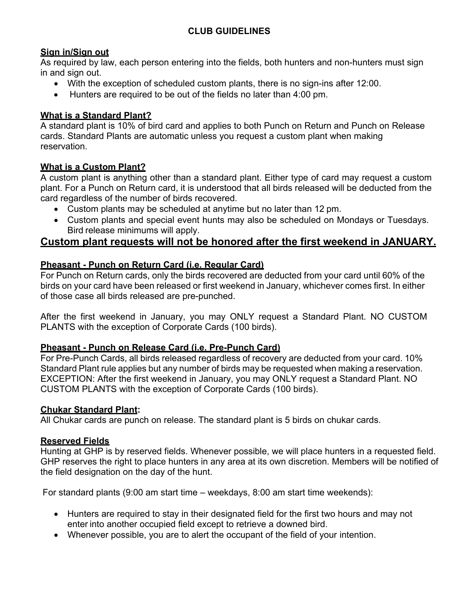#### **CLUB GUIDELINES**

#### **Sign in/Sign out**

As required by law, each person entering into the fields, both hunters and non-hunters must sign in and sign out.

- With the exception of scheduled custom plants, there is no sign-ins after 12:00.
- Hunters are required to be out of the fields no later than 4:00 pm.

#### **What is a Standard Plant?**

A standard plant is 10% of bird card and applies to both Punch on Return and Punch on Release cards. Standard Plants are automatic unless you request a custom plant when making reservation.

#### **What is a Custom Plant?**

A custom plant is anything other than a standard plant. Either type of card may request a custom plant. For a Punch on Return card, it is understood that all birds released will be deducted from the card regardless of the number of birds recovered.

- Custom plants may be scheduled at anytime but no later than 12 pm.
- Custom plants and special event hunts may also be scheduled on Mondays or Tuesdays. Bird release minimums will apply.

### **Custom plant requests will not be honored after the first weekend in JANUARY.**

#### **Pheasant - Punch on Return Card (i.e. Regular Card)**

For Punch on Return cards, only the birds recovered are deducted from your card until 60% of the birds on your card have been released or first weekend in January, whichever comes first. In either of those case all birds released are pre-punched.

After the first weekend in January, you may ONLY request a Standard Plant. NO CUSTOM PLANTS with the exception of Corporate Cards (100 birds).

#### **Pheasant - Punch on Release Card (i.e. Pre-Punch Card)**

For Pre-Punch Cards, all birds released regardless of recovery are deducted from your card. 10% Standard Plant rule applies but any number of birds may be requested when making a reservation. EXCEPTION: After the first weekend in January, you may ONLY request a Standard Plant. NO CUSTOM PLANTS with the exception of Corporate Cards (100 birds).

#### **Chukar Standard Plant:**

All Chukar cards are punch on release. The standard plant is 5 birds on chukar cards.

#### **Reserved Fields**

Hunting at GHP is by reserved fields. Whenever possible, we will place hunters in a requested field. GHP reserves the right to place hunters in any area at its own discretion. Members will be notified of the field designation on the day of the hunt.

For standard plants (9:00 am start time – weekdays, 8:00 am start time weekends):

- Hunters are required to stay in their designated field for the first two hours and may not enter into another occupied field except to retrieve a downed bird.
- Whenever possible, you are to alert the occupant of the field of your intention.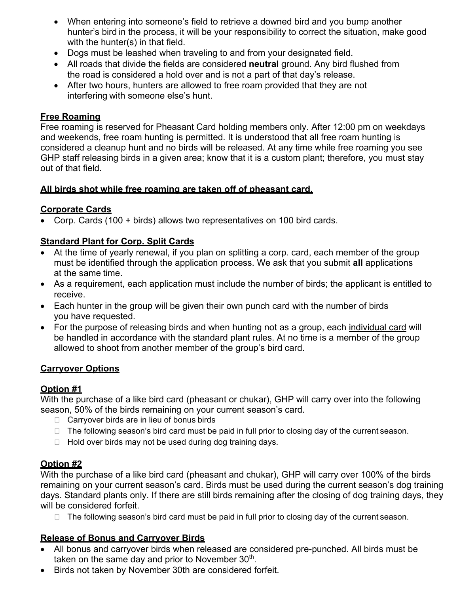- When entering into someone's field to retrieve a downed bird and you bump another hunter's bird in the process, it will be your responsibility to correct the situation, make good with the hunter(s) in that field.
- Dogs must be leashed when traveling to and from your designated field.
- All roads that divide the fields are considered **neutral** ground. Any bird flushed from the road is considered a hold over and is not a part of that day's release.
- After two hours, hunters are allowed to free roam provided that they are not interfering with someone else's hunt.

#### **Free Roaming**

Free roaming is reserved for Pheasant Card holding members only. After 12:00 pm on weekdays and weekends, free roam hunting is permitted. It is understood that all free roam hunting is considered a cleanup hunt and no birds will be released. At any time while free roaming you see GHP staff releasing birds in a given area; know that it is a custom plant; therefore, you must stay out of that field.

#### **All birds shot while free roaming are taken off of pheasant card.**

#### **Corporate Cards**

• Corp. Cards (100 + birds) allows two representatives on 100 bird cards.

#### **Standard Plant for Corp. Split Cards**

- At the time of yearly renewal, if you plan on splitting a corp. card, each member of the group must be identified through the application process. We ask that you submit **all** applications at the same time.
- As a requirement, each application must include the number of birds; the applicant is entitled to receive.
- Each hunter in the group will be given their own punch card with the number of birds you have requested.
- For the purpose of releasing birds and when hunting not as a group, each individual card will be handled in accordance with the standard plant rules. At no time is a member of the group allowed to shoot from another member of the group's bird card.

#### **Carryover Options**

#### **Option #1**

With the purchase of a like bird card (pheasant or chukar), GHP will carry over into the following season, 50% of the birds remaining on your current season's card.

- $\Box$  Carryover birds are in lieu of bonus birds
- $\Box$  The following season's bird card must be paid in full prior to closing day of the current season.
- $\Box$  Hold over birds may not be used during dog training days.

#### **Option #2**

With the purchase of a like bird card (pheasant and chukar), GHP will carry over 100% of the birds remaining on your current season's card. Birds must be used during the current season's dog training days. Standard plants only. If there are still birds remaining after the closing of dog training days, they will be considered forfeit.

 $\Box$  The following season's bird card must be paid in full prior to closing day of the current season.

#### **Release of Bonus and Carryover Birds**

- All bonus and carryover birds when released are considered pre-punched. All birds must be taken on the same day and prior to November  $30<sup>th</sup>$ .
- Birds not taken by November 30th are considered forfeit.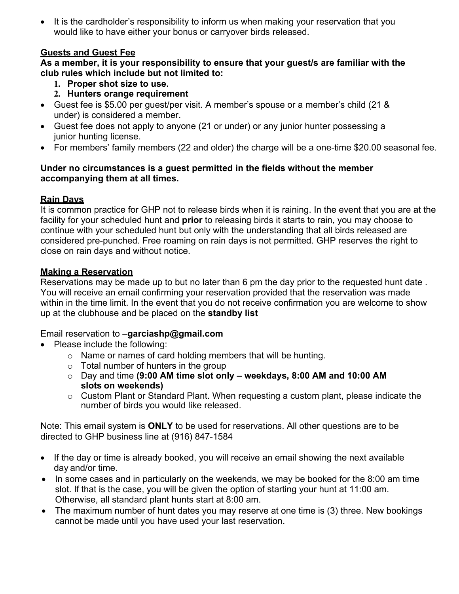• It is the cardholder's responsibility to inform us when making your reservation that you would like to have either your bonus or carryover birds released.

#### **Guests and Guest Fee**

**As a member, it is your responsibility to ensure that your guest/s are familiar with the club rules which include but not limited to:**

- **1. Proper shot size to use.**
- **2. Hunters orange requirement**
- Guest fee is \$5.00 per guest/per visit. A member's spouse or a member's child (21 & under) is considered a member.
- Guest fee does not apply to anyone (21 or under) or any junior hunter possessing a junior hunting license.
- For members' family members (22 and older) the charge will be a one-time \$20.00 seasonal fee.

#### **Under no circumstances is a guest permitted in the fields without the member accompanying them at all times.**

#### **Rain Days**

It is common practice for GHP not to release birds when it is raining. In the event that you are at the facility for your scheduled hunt and **prior** to releasing birds it starts to rain, you may choose to continue with your scheduled hunt but only with the understanding that all birds released are considered pre-punched. Free roaming on rain days is not permitted. GHP reserves the right to close on rain days and without notice.

#### **Making a Reservation**

Reservations may be made up to but no later than 6 pm the day prior to the requested hunt date . You will receive an email confirming your reservation provided that the reservation was made within in the time limit. In the event that you do not receive confirmation you are welcome to show up at the clubhouse and be placed on the **standby list**

#### Email reservation to –**[garciashp@gmail.com](mailto:garciashp@gmail.com)**

- Please include the following:
	- o Name or names of card holding members that will be hunting.
	- o Total number of hunters in the group
	- o Day and time **(9:00 AM time slot only – weekdays, 8:00 AM and 10:00 AM slots on weekends)**
	- o Custom Plant or Standard Plant. When requesting a custom plant, please indicate the number of birds you would like released.

Note: This email system is **ONLY** to be used for reservations. All other questions are to be directed to GHP business line at (916) 847-1584

- If the day or time is already booked, you will receive an email showing the next available day and/or time.
- In some cases and in particularly on the weekends, we may be booked for the 8:00 am time slot. If that is the case, you will be given the option of starting your hunt at 11:00 am. Otherwise, all standard plant hunts start at 8:00 am.
- The maximum number of hunt dates you may reserve at one time is (3) three. New bookings cannot be made until you have used your last reservation.